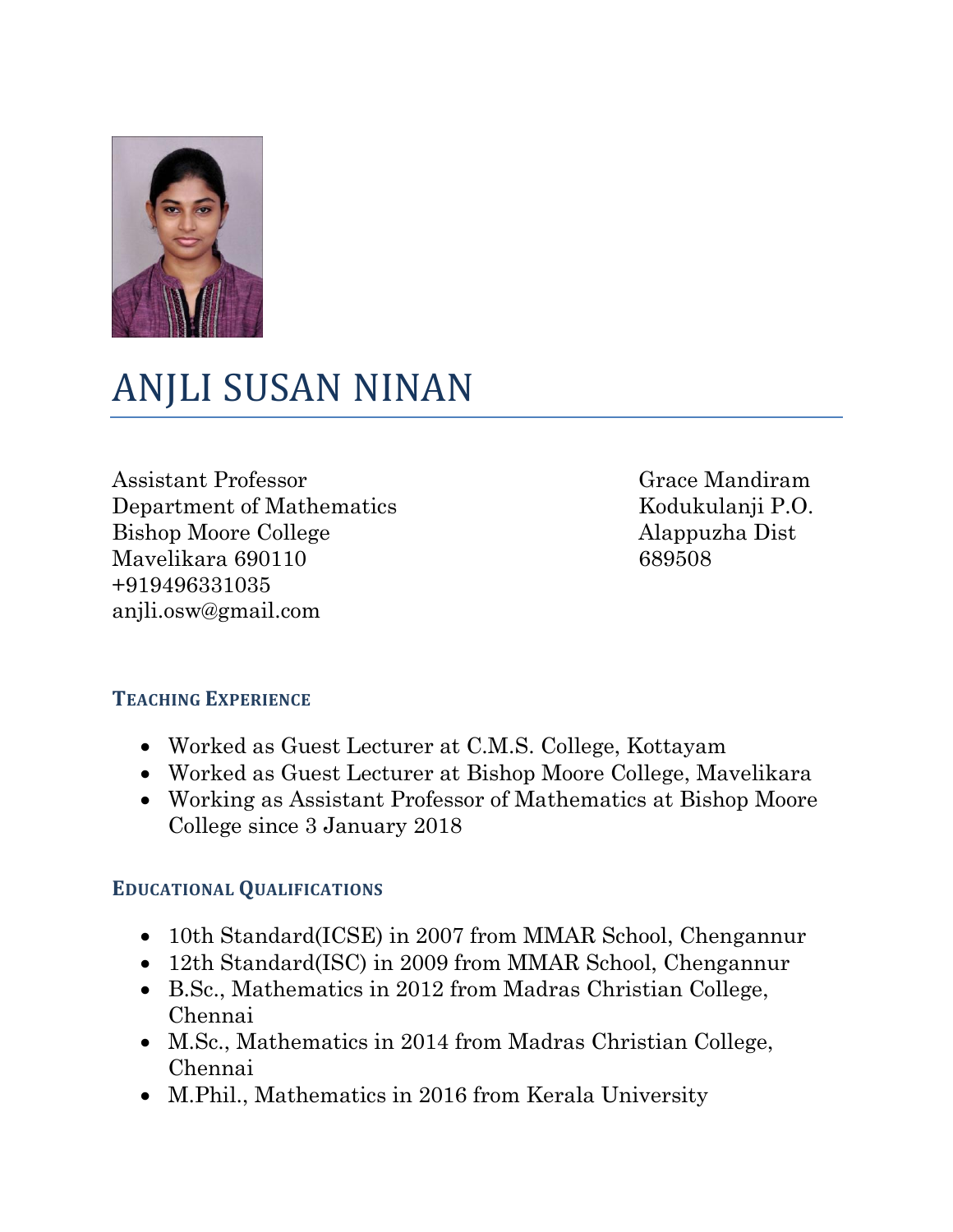

# ANJLI SUSAN NINAN

Assistant Professor Department of Mathematics Bishop Moore College Mavelikara 690110 +919496331035 anjli.osw@gmail.com

Grace Mandiram Kodukulanji P.O. Alappuzha Dist 689508

#### **TEACHING EXPERIENCE**

- Worked as Guest Lecturer at C.M.S. College, Kottayam
- Worked as Guest Lecturer at Bishop Moore College, Mavelikara
- Working as Assistant Professor of Mathematics at Bishop Moore College since 3 January 2018

#### **EDUCATIONAL QUALIFICATIONS**

- 10th Standard(ICSE) in 2007 from MMAR School, Chengannur
- 12th Standard(ISC) in 2009 from MMAR School, Chengannur
- B.Sc., Mathematics in 2012 from Madras Christian College, Chennai
- M.Sc., Mathematics in 2014 from Madras Christian College, Chennai
- M.Phil., Mathematics in 2016 from Kerala University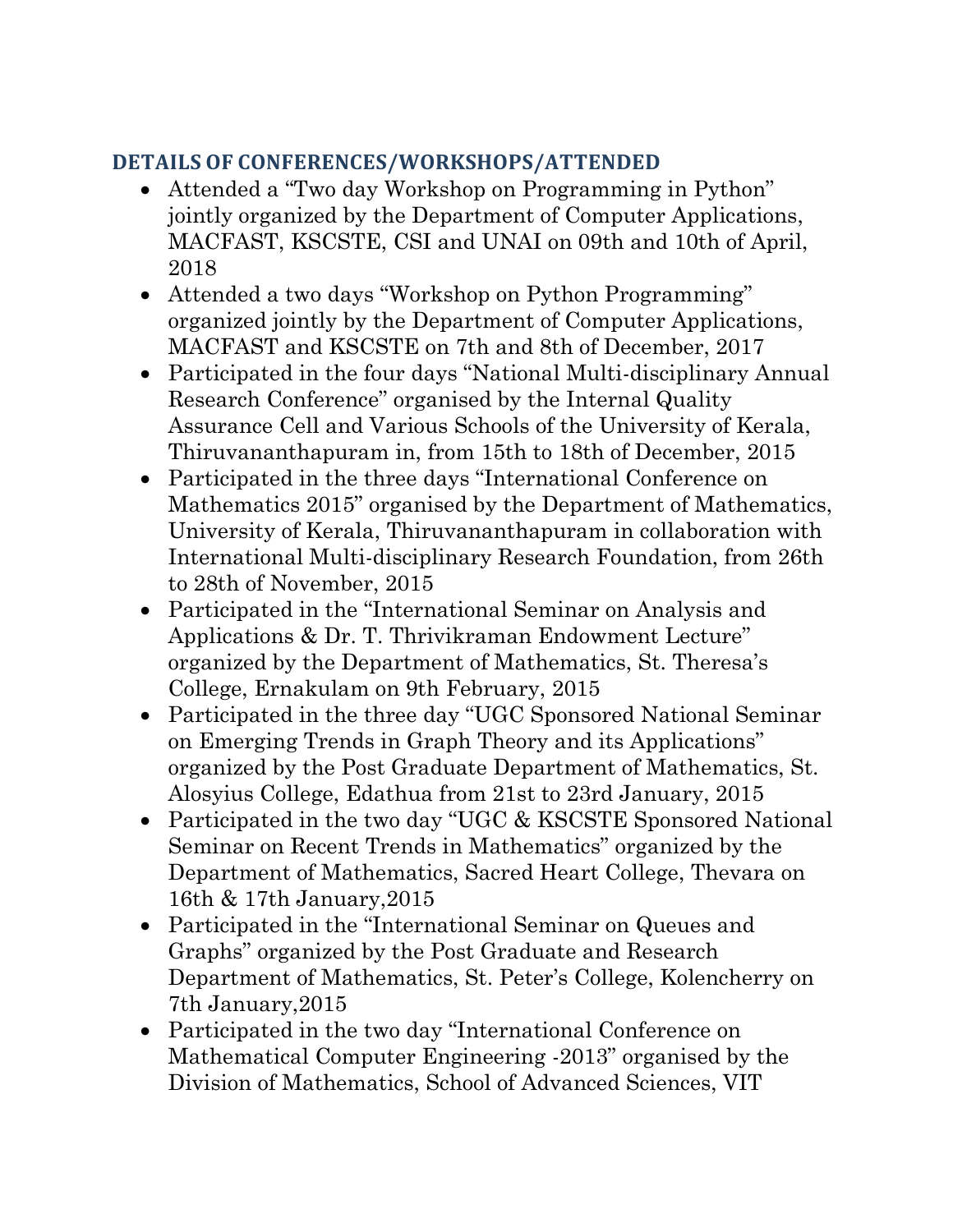### **DETAILS OF CONFERENCES/WORKSHOPS/ATTENDED**

- Attended a "Two day Workshop on Programming in Python" jointly organized by the Department of Computer Applications, MACFAST, KSCSTE, CSI and UNAI on 09th and 10th of April, 2018
- Attended a two days "Workshop on Python Programming" organized jointly by the Department of Computer Applications, MACFAST and KSCSTE on 7th and 8th of December, 2017
- Participated in the four days "National Multi-disciplinary Annual Research Conference" organised by the Internal Quality Assurance Cell and Various Schools of the University of Kerala, Thiruvananthapuram in, from 15th to 18th of December, 2015
- Participated in the three days "International Conference on Mathematics 2015" organised by the Department of Mathematics, University of Kerala, Thiruvananthapuram in collaboration with International Multi-disciplinary Research Foundation, from 26th to 28th of November, 2015
- Participated in the "International Seminar on Analysis and Applications & Dr. T. Thrivikraman Endowment Lecture" organized by the Department of Mathematics, St. Theresa's College, Ernakulam on 9th February, 2015
- Participated in the three day "UGC Sponsored National Seminar on Emerging Trends in Graph Theory and its Applications" organized by the Post Graduate Department of Mathematics, St. Alosyius College, Edathua from 21st to 23rd January, 2015
- Participated in the two day "UGC & KSCSTE Sponsored National Seminar on Recent Trends in Mathematics" organized by the Department of Mathematics, Sacred Heart College, Thevara on 16th & 17th January,2015
- Participated in the "International Seminar on Queues and Graphs" organized by the Post Graduate and Research Department of Mathematics, St. Peter's College, Kolencherry on 7th January,2015
- Participated in the two day "International Conference on Mathematical Computer Engineering -2013" organised by the Division of Mathematics, School of Advanced Sciences, VIT